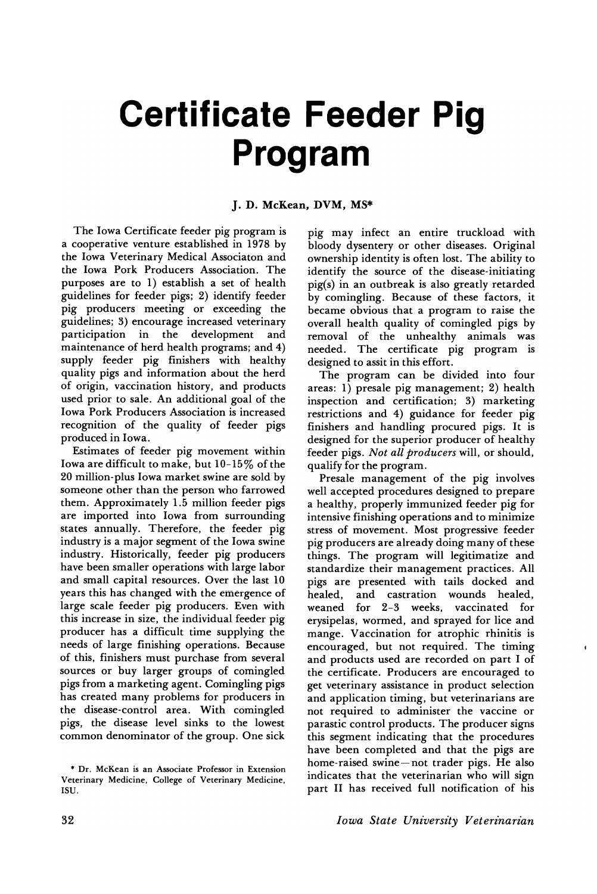# **Certificate Feeder Pig Program**

### J. D. McKean, DVM, MS\*

The Iowa Certificate feeder pig program is a cooperative venture established in 1978 by the Iowa Veterinary Medical Associaton and the Iowa Pork Producers Association. The purposes are to 1) establish a set of health guidelines for feeder pigs; 2) identify feeder pig producers meeting or exceeding the guidelines; 3) encourage increased veterinary in the development and maintenance of herd health programs; and 4) supply feeder pig finishers with healthy quality pigs and information about the herd of origin, vaccination history, and products used prior to sale. An additional goal of the Iowa Pork Producers Association is increased recognition of the quality of feeder pigs produced in Iowa.

Estimates of feeder pig movement within Iowa are difficult to make, but 10-15% of the 20 million-plus Iowa market swine are sold by someone other than the person who farrowed them. Approximately 1.5 million feeder pigs are imported into Iowa from surrounding states annually. Therefore, the feeder pig industry is a major segment of the Iowa swine industry. Historically, feeder pig producers have been smaller operations with large labor and small capital resources. Over the last 10 years this has changed with the emergence of large scale feeder pig producers. Even with this increase in size, the individual feeder pig producer has a difficult time supplying the needs of large finishing operations. Because of this, finishers must purchase from several sources or buy larger groups of comingled pigs from a marketing agent. Comingling pigs has created many problems for producers in the disease-control area. With comingled pigs, the disease level sinks to the lowest common denominator of the group. One sick

pig may infect an entire truckload with bloody dysentery or other diseases. Original ownership identity is often lost. The ability to identify the source of the disease-initiating pig(s) in an outbreak is also greatly retarded by comingling. Because of these factors, it became obvious that a program to raise the overall health quality of comingled pigs by removal of the unhealthy animals was needed. The certificate pig program is designed to assit in this effort.

The program can be divided into four areas: 1) presale pig management; 2) health inspection and certification; 3) marketing restrictions and 4) guidance for feeder pig finishers and handling procured pigs. It is designed for the superior producer of healthy feeder pigs. *Not all producers* will, or should, qualify for the program.

Presale management of the pig involves well accepted procedures designed to prepare a healthy, properly immunized feeder pig for intensive finishing operations and to minimize stress of movement. Most progressive feeder pig producers are already doing many of these things. The program will legitimatize and standardize their management practices. All pigs are presented with tails docked and and castration wounds healed, weaned for 2-3 weeks, vaccinated for erysipelas, wormed, and sprayed for lice and mange. Vaccination for atrophic rhinitis is encouraged, but not required. The timing and products used are recorded on part I of the certificate. Producers are encouraged to get veterinary assistance in product selection and application timing, but veterinarians are not required to administer the vaccine or parastic control products. The producer signs this segment indicating that the procedures have been completed and that the pigs are home-raised swine-not trader pigs. He also indicates that the veterinarian who will sign part II has received full notification of his

 $\mathbf{I}$ 

<sup>\*</sup> Dr. McKean is an Associate Professor in Extension Veterinary Medicine, College of Veterinary Medicine, ISD.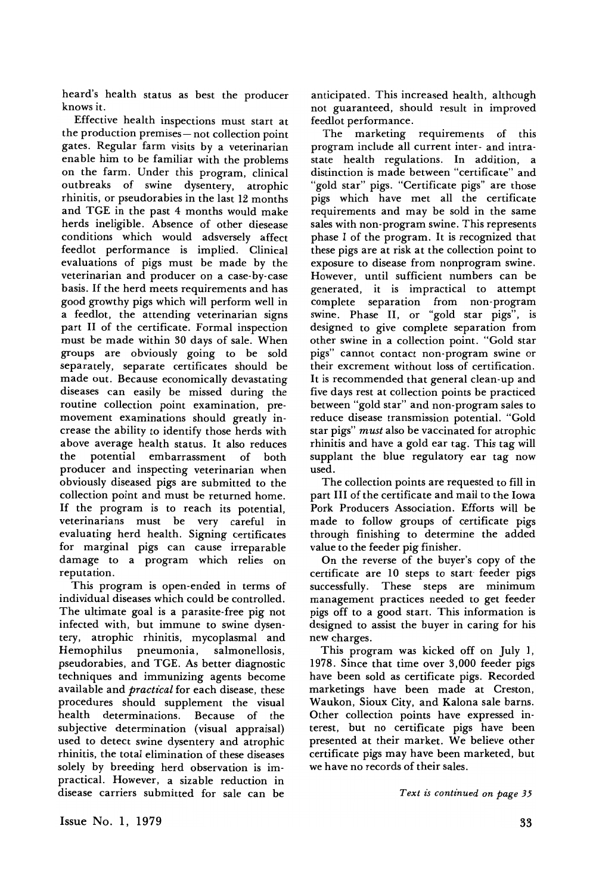heard's health status as best the producer knows it.

Effective health inspections must start at the production premises- not collection point gates. Regular farm visits by a veterinarian enable him to be familiar with the problems on the farm. Under this program, clinical outbreaks of swine dysentery, atrophic rhinitis, or pseudorabies in the last 12 months and TGE in the past 4 months would make herds ineligible. Absence of other diesease conditions which would adsversely affect feedlot performance is implied. Clinical evaluations of pigs must be made by the veterinarian and producer on a case-by-case basis. If the herd meets requirements and has good growthy pigs which will perform well in a feedlot, the attending veterinarian signs part II of the certificate. Formal inspection must be made within 30 days of sale. When groups are obviously going to be sold separately, separate certificates should be made out. Because economically devastating diseases can easily be missed during the routine collection point examination, premovement examinations should greatly increase the ability to identify those herds with above average health status. It also reduces potential embarrassment of both producer and inspecting veterinarian when obviously diseased pigs are submitted to the collection point and must be returned home. If the program is to reach its potential, veterinarians must be very careful in evaluating herd health. Signing certificates for marginal pigs can cause irreparable damage to a program which relies on reputation.

This program is open-ended in terms of individual diseases which could be controlled. The ultimate goal is a parasite-free pig not infected with, but immune to swine dysentery, atrophic rhinitis, mycoplasmal and<br>Hemophilus pneumonia, salmonellosis, Hemophilus pneumonia, pseudorabies, and TGE. As better diagnostic techniques and immunizing agents become available and *practical* for each disease, these procedures should supplement the visual health determinations. Because of the subjective determination (visual appraisal) used to detect swine dysentery and atrophic rhinitis, the total elimination of these diseases solely by breeding herd observation is impractical. However, a sizable reduction in disease carriers submitted for sale can be

anticipated. This increased health, although not guaranteed, should result in improved feedlot performance.

The marketing requirements of this program include all current inter- and intrastate health regulations. In addition, a distinction is made between "certificate" and "gold star" pigs. "Certificate pigs" are those pigs which have met all the certificate requirements and may be sold in the same sales with non-program swine. This represents phase I of the program. It is recognized that these pigs are at risk at the collection point to exposure to disease from nonprogram swine. However, until sufficient numbers can be generated, it is impractical to attempt complete separation from non-program swine. Phase II, or "gold star pigs", is designed to give complete separation from other swine in a collection point. "Gold star pigs" cannot contact non-program swine or their excrement without loss of certification. It is recommended that general clean-up and five days rest at collection points be practiced between "gold star" and non-program sales to reduce disease transmission potential. "Gold star pigs" *must* also be vaccinated for atrophic rhinitis and have a gold ear tag. This tag will supplant the blue regulatory ear tag now used.

The collection points are requested to fill in part III of the certificate and mail to the Iowa Pork Producers Association. Efforts will be made to follow groups of certificate pigs through finishing to determine the added value to the feeder pig finisher.

On the reverse of the buyer's copy of the certificate are 10 steps to start feeder pigs successfully. These steps are minimum management practices needed to get feeder pigs off to a good start. This information is designed to assist the buyer in caring for his new charges.

This program was kicked off on July 1, 1978. Since that time over 3,000 feeder pigs have been sold as certificate pigs. Recorded marketings have been made at Creston, Waukon, Sioux City, and Kalona sale barns. Other collection points have expressed interest, but no certificate pigs have been presented at their market. We believe other certificate pigs may have been marketed, but we have no records of their sales.

*Text zs contz'nued on page 35*

Issue No.1, 1979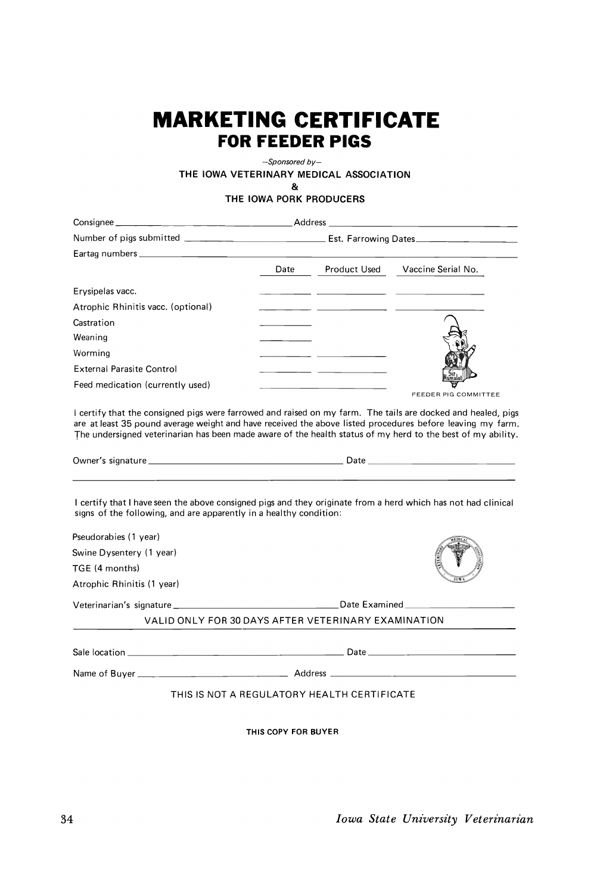## **MARKETING CERTIFICATE FOR FEEDER PIGS**

-Sponsored *by-*

THE IOWA VETERINARY MEDICAL ASSOCIATION

& THE IOWA PORK PRODUCERS

Consignee Address \_ Number of pigs submitted Est. Farrowing Dates \_ Eartag numbers \_ Date Product Used Vaccine Serial No. Erysipelas vacc.  $\overline{a}$ Atrophic Rhinitis vacc. (optional)  $\overline{\phantom{a}}$ **Castration** Weaning Worming External Parasite Control  $=$   $=$ Feed medication (currently used) FEEDER PIG COMMITTEE

I certify that the consigned pigs were farrowed and raised on my farm. The tails are docked and healed, pigs are at least 35 pound average weight and have received the above listed procedures before leaving my farm. The undersigned veterinarian has been made aware of the health status of my herd to the best of my ability.

Owner's signature Date \_

I certify that I have seen the above consigned pigs and they originate from a herd which has not had clinical signs of the following, and are apparently in a healthy condition:

| VALID ONLY FOR 30 DAYS AFTER VETERINARY EXAMINATION |
|-----------------------------------------------------|
|                                                     |
|                                                     |
|                                                     |
| THIS IS NOT A REGULATORY HEALTH CERTIFICATE         |
|                                                     |

THIS COpy FOR BUYER